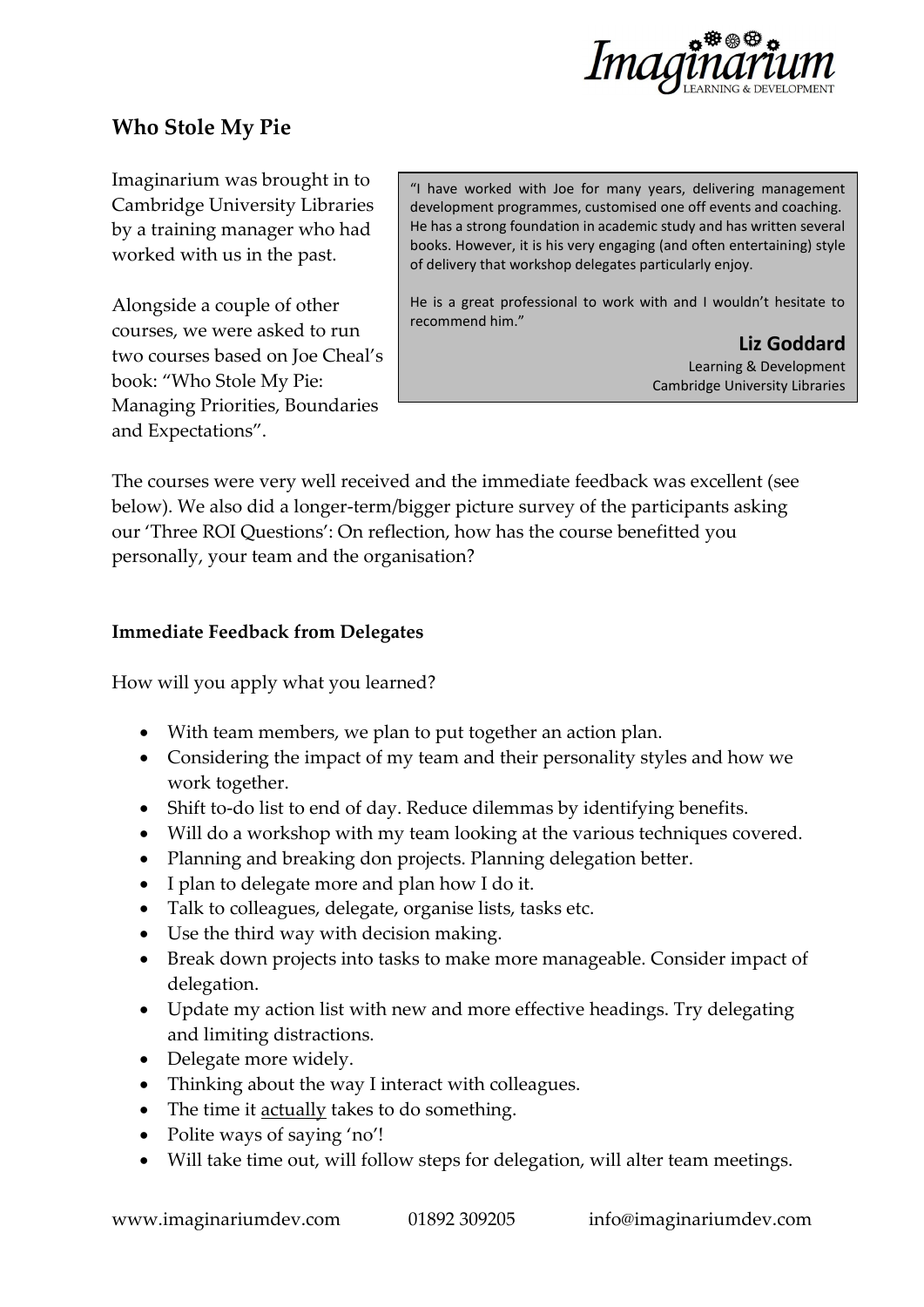

## **Who Stole My Pie**

Imaginarium was brought in to Cambridge University Libraries by a training manager who had worked with us in the past.

Alongside a couple of other courses, we were asked to run two courses based on Joe Cheal's book: "Who Stole My Pie: Managing Priorities, Boundaries and Expectations".

"I have worked with Joe for many years, delivering management development programmes, customised one off events and coaching. He has a strong foundation in academic study and has written several books. However, it is his very engaging (and often entertaining) style of delivery that workshop delegates particularly enjoy.

He is a great professional to work with and I wouldn't hesitate to recommend him."

> **Liz Goddard** Learning & Development Cambridge University Libraries

The courses were very well received and the immediate feedback was excellent (see below). We also did a longer-term/bigger picture survey of the participants asking our 'Three ROI Questions': On reflection, how has the course benefitted you personally, your team and the organisation?

## **Immediate Feedback from Delegates**

How will you apply what you learned?

- With team members, we plan to put together an action plan.
- Considering the impact of my team and their personality styles and how we work together.
- Shift to-do list to end of day. Reduce dilemmas by identifying benefits.
- Will do a workshop with my team looking at the various techniques covered.
- Planning and breaking don projects. Planning delegation better.
- I plan to delegate more and plan how I do it.
- Talk to colleagues, delegate, organise lists, tasks etc.
- Use the third way with decision making.
- Break down projects into tasks to make more manageable. Consider impact of delegation.
- Update my action list with new and more effective headings. Try delegating and limiting distractions.
- Delegate more widely.
- Thinking about the way I interact with colleagues.
- The time it actually takes to do something.
- Polite ways of saying 'no'!
- Will take time out, will follow steps for delegation, will alter team meetings.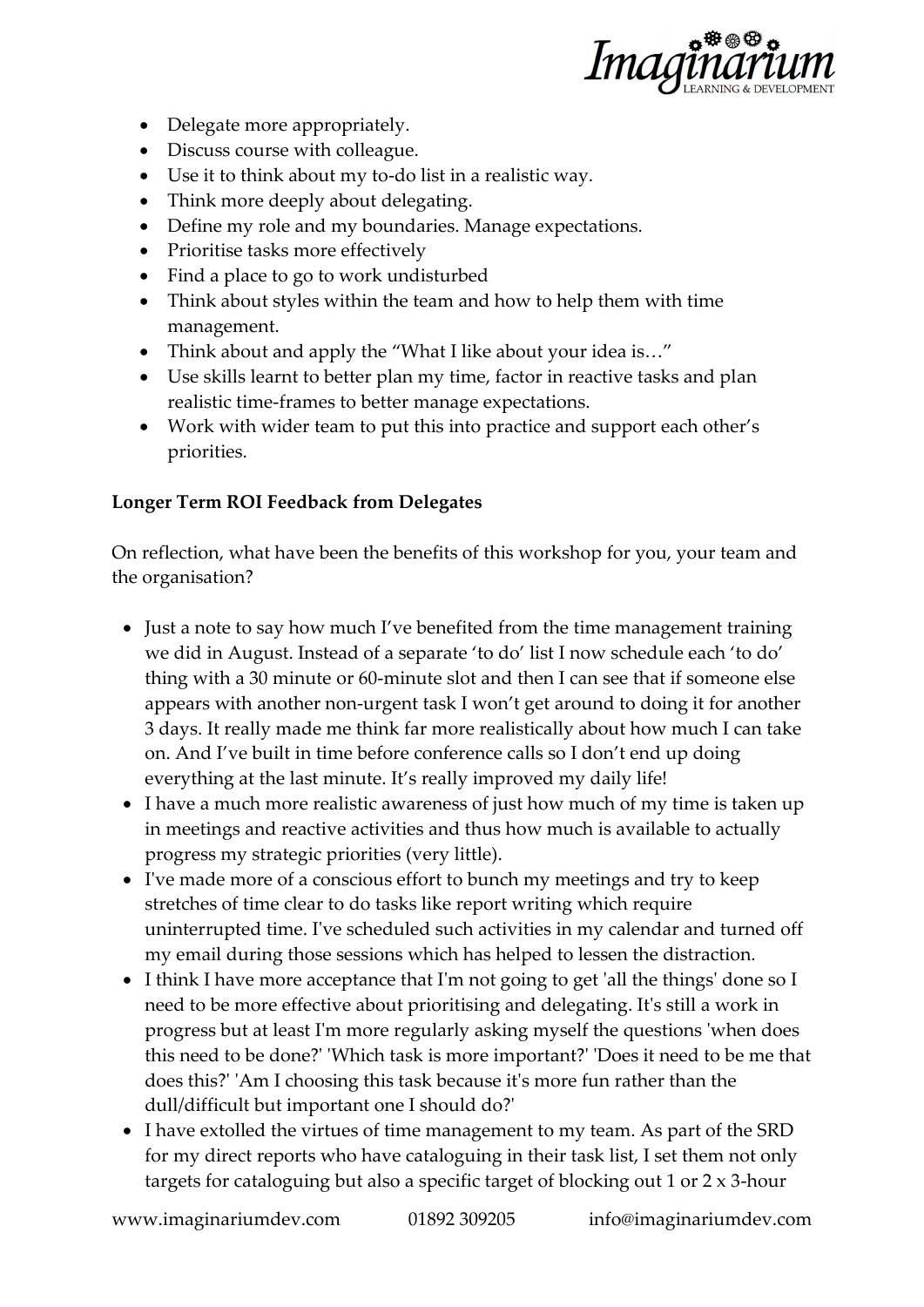

- Delegate more appropriately.
- Discuss course with colleague.
- Use it to think about my to-do list in a realistic way.
- Think more deeply about delegating.
- Define my role and my boundaries. Manage expectations.
- Prioritise tasks more effectively
- Find a place to go to work undisturbed
- Think about styles within the team and how to help them with time management.
- Think about and apply the "What I like about your idea is..."
- Use skills learnt to better plan my time, factor in reactive tasks and plan realistic time-frames to better manage expectations.
- Work with wider team to put this into practice and support each other's priorities.

## **Longer Term ROI Feedback from Delegates**

On reflection, what have been the benefits of this workshop for you, your team and the organisation?

- Just a note to say how much I've benefited from the time management training we did in August. Instead of a separate 'to do' list I now schedule each 'to do' thing with a 30 minute or 60-minute slot and then I can see that if someone else appears with another non-urgent task I won't get around to doing it for another 3 days. It really made me think far more realistically about how much I can take on. And I've built in time before conference calls so I don't end up doing everything at the last minute. It's really improved my daily life!
- I have a much more realistic awareness of just how much of my time is taken up in meetings and reactive activities and thus how much is available to actually progress my strategic priorities (very little).
- I've made more of a conscious effort to bunch my meetings and try to keep stretches of time clear to do tasks like report writing which require uninterrupted time. I've scheduled such activities in my calendar and turned off my email during those sessions which has helped to lessen the distraction.
- I think I have more acceptance that I'm not going to get 'all the things' done so I need to be more effective about prioritising and delegating. It's still a work in progress but at least I'm more regularly asking myself the questions 'when does this need to be done?' 'Which task is more important?' 'Does it need to be me that does this?' 'Am I choosing this task because it's more fun rather than the dull/difficult but important one I should do?'
- I have extolled the virtues of time management to my team. As part of the SRD for my direct reports who have cataloguing in their task list, I set them not only targets for cataloguing but also a specific target of blocking out 1 or 2 x 3-hour